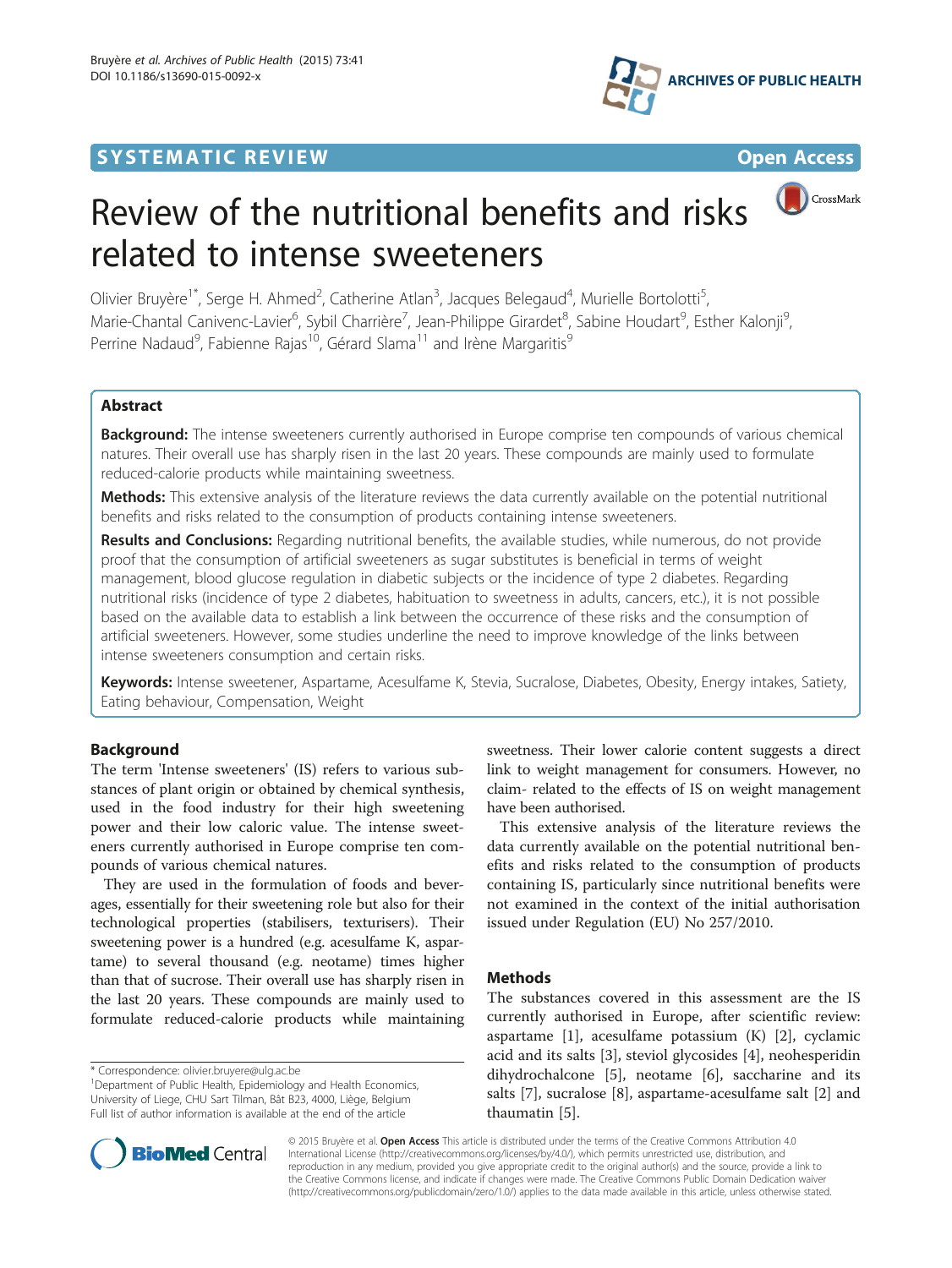## **SYSTEMATIC REVIEW CONTROL**





CrossMark

# Review of the nutritional benefits and risks related to intense sweeteners

Olivier Bruyère<sup>1\*</sup>, Serge H. Ahmed<sup>2</sup>, Catherine Atlan<sup>3</sup>, Jacques Belegaud<sup>4</sup>, Murielle Bortolotti<sup>5</sup> , Marie-Chantal Canivenc-Lavier<sup>6</sup>, Sybil Charrière<sup>7</sup>, Jean-Philippe Girardet<sup>8</sup>, Sabine Houdart<sup>9</sup>, Esther Kalonji<sup>9</sup> , Perrine Nadaud<sup>9</sup>, Fabienne Rajas<sup>10</sup>, Gérard Slama<sup>11</sup> and Irène Margaritis<sup>9</sup>

## Abstract

**Background:** The intense sweeteners currently authorised in Europe comprise ten compounds of various chemical natures. Their overall use has sharply risen in the last 20 years. These compounds are mainly used to formulate reduced-calorie products while maintaining sweetness.

Methods: This extensive analysis of the literature reviews the data currently available on the potential nutritional benefits and risks related to the consumption of products containing intense sweeteners.

Results and Conclusions: Regarding nutritional benefits, the available studies, while numerous, do not provide proof that the consumption of artificial sweeteners as sugar substitutes is beneficial in terms of weight management, blood glucose regulation in diabetic subjects or the incidence of type 2 diabetes. Regarding nutritional risks (incidence of type 2 diabetes, habituation to sweetness in adults, cancers, etc.), it is not possible based on the available data to establish a link between the occurrence of these risks and the consumption of artificial sweeteners. However, some studies underline the need to improve knowledge of the links between intense sweeteners consumption and certain risks.

Keywords: Intense sweetener, Aspartame, Acesulfame K, Stevia, Sucralose, Diabetes, Obesity, Energy intakes, Satiety, Eating behaviour, Compensation, Weight

## Background

The term 'Intense sweeteners' (IS) refers to various substances of plant origin or obtained by chemical synthesis, used in the food industry for their high sweetening power and their low caloric value. The intense sweeteners currently authorised in Europe comprise ten compounds of various chemical natures.

They are used in the formulation of foods and beverages, essentially for their sweetening role but also for their technological properties (stabilisers, texturisers). Their sweetening power is a hundred (e.g. acesulfame K, aspartame) to several thousand (e.g. neotame) times higher than that of sucrose. Their overall use has sharply risen in the last 20 years. These compounds are mainly used to formulate reduced-calorie products while maintaining

<sup>1</sup>Department of Public Health, Epidemiology and Health Economics, University of Liege, CHU Sart Tilman, Bât B23, 4000, Liège, Belgium Full list of author information is available at the end of the article

sweetness. Their lower calorie content suggests a direct link to weight management for consumers. However, no claim- related to the effects of IS on weight management have been authorised.

This extensive analysis of the literature reviews the data currently available on the potential nutritional benefits and risks related to the consumption of products containing IS, particularly since nutritional benefits were not examined in the context of the initial authorisation issued under Regulation (EU) No 257/2010.

## **Methods**

The substances covered in this assessment are the IS currently authorised in Europe, after scientific review: aspartame [[1\]](#page-7-0), acesulfame potassium (K) [[2\]](#page-8-0), cyclamic acid and its salts [[3\]](#page-8-0), steviol glycosides [[4\]](#page-8-0), neohesperidin dihydrochalcone [[5](#page-8-0)], neotame [\[6](#page-8-0)], saccharine and its salts [[7\]](#page-8-0), sucralose [[8\]](#page-8-0), aspartame-acesulfame salt [\[2](#page-8-0)] and thaumatin [[5\]](#page-8-0).



© 2015 Bruyère et al. Open Access This article is distributed under the terms of the Creative Commons Attribution 4.0 International License [\(http://creativecommons.org/licenses/by/4.0/](http://creativecommons.org/licenses/by/4.0/)), which permits unrestricted use, distribution, and reproduction in any medium, provided you give appropriate credit to the original author(s) and the source, provide a link to the Creative Commons license, and indicate if changes were made. The Creative Commons Public Domain Dedication waiver [\(http://creativecommons.org/publicdomain/zero/1.0/](http://creativecommons.org/publicdomain/zero/1.0/)) applies to the data made available in this article, unless otherwise stated.

<sup>\*</sup> Correspondence: [olivier.bruyere@ulg.ac.be](mailto:olivier.bruyere@ulg.ac.be) <sup>1</sup>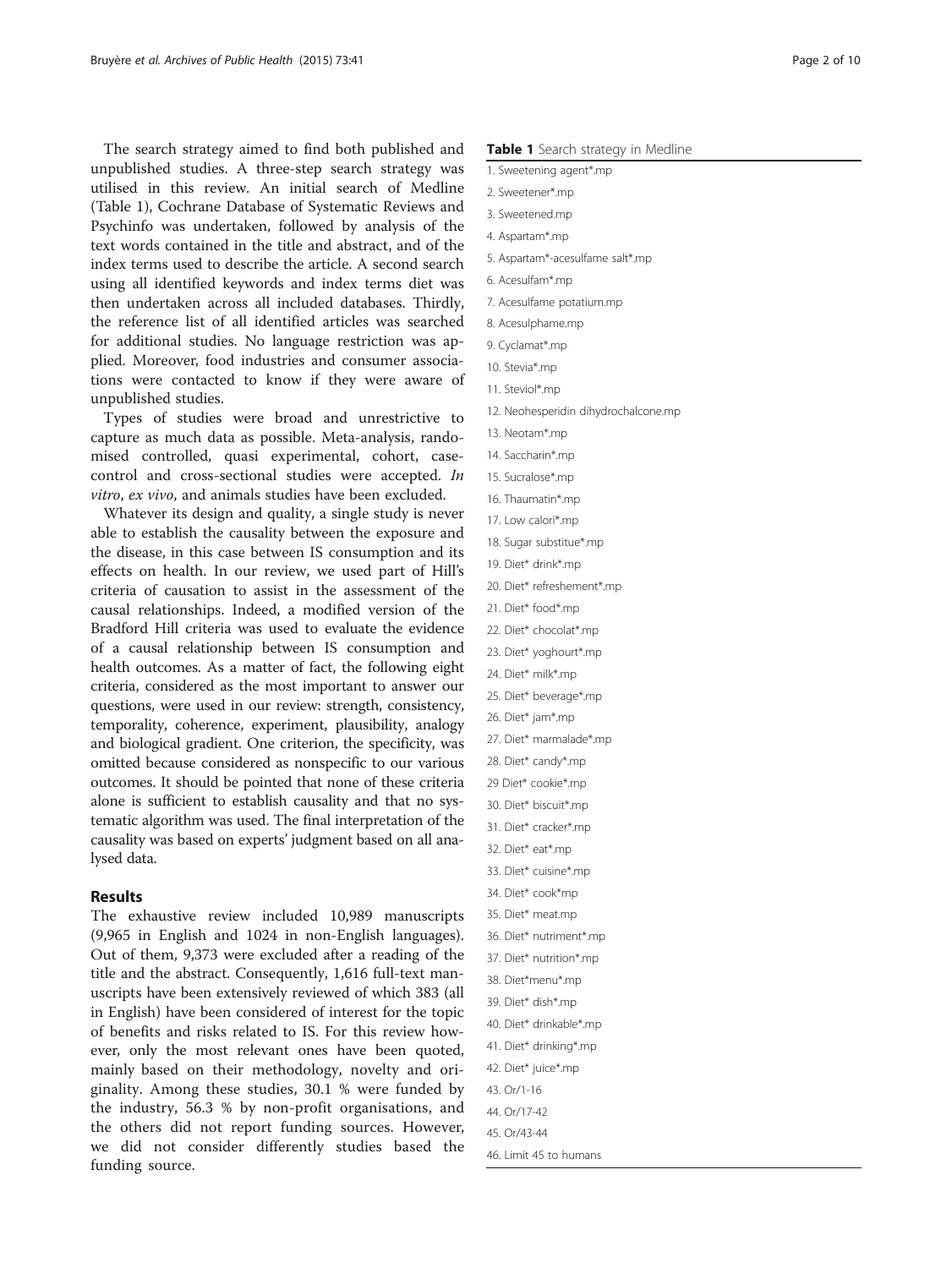The search strategy aimed to find both published and unpublished studies. A three-step search strategy was utilised in this review. An initial search of Medline (Table 1), Cochrane Database of Systematic Reviews and Psychinfo was undertaken, followed by analysis of the text words contained in the title and abstract, and of the index terms used to describe the article. A second search using all identified keywords and index terms diet was then undertaken across all included databases. Thirdly, the reference list of all identified articles was searched for additional studies. No language restriction was applied. Moreover, food industries and consumer associations were contacted to know if they were aware of unpublished studies.

Types of studies were broad and unrestrictive to capture as much data as possible. Meta-analysis, randomised controlled, quasi experimental, cohort, casecontrol and cross-sectional studies were accepted. In vitro, ex vivo, and animals studies have been excluded.

Whatever its design and quality, a single study is never able to establish the causality between the exposure and the disease, in this case between IS consumption and its effects on health. In our review, we used part of Hill's criteria of causation to assist in the assessment of the causal relationships. Indeed, a modified version of the Bradford Hill criteria was used to evaluate the evidence of a causal relationship between IS consumption and health outcomes. As a matter of fact, the following eight criteria, considered as the most important to answer our questions, were used in our review: strength, consistency, temporality, coherence, experiment, plausibility, analogy and biological gradient. One criterion, the specificity, was omitted because considered as nonspecific to our various outcomes. It should be pointed that none of these criteria alone is sufficient to establish causality and that no systematic algorithm was used. The final interpretation of the causality was based on experts' judgment based on all analysed data.

## Results

The exhaustive review included 10,989 manuscripts (9,965 in English and 1024 in non-English languages). Out of them, 9,373 were excluded after a reading of the title and the abstract. Consequently, 1,616 full-text manuscripts have been extensively reviewed of which 383 (all in English) have been considered of interest for the topic of benefits and risks related to IS. For this review however, only the most relevant ones have been quoted, mainly based on their methodology, novelty and originality. Among these studies, 30.1 % were funded by the industry, 56.3 % by non-profit organisations, and the others did not report funding sources. However, we did not consider differently studies based the funding source.

- 1. Sweetening agent\*.mp
- 2. Sweetener\*.mp
- 3. Sweetened.mp
- 4. Aspartam\*.mp
- 5. Aspartam\*-acesulfame salt\*.mp
- 6. Acesulfam\*.mp
- 7. Acesulfame potatium.mp
- 8. Acesulphame.mp
- 9. Cyclamat\*.mp
- 10. Stevia\*.mp
- 11. Steviol\*.mp
- 12. Neohesperidin dihydrochalcone.mp
- 13. Neotam\*.mp
- 14. Saccharin\*.mp
- 15. Sucralose\*.mp
- 16. Thaumatin\*.mp
- 17. Low calori\*.mp
- 18. Sugar substitue\*.mp
- 19. Diet\* drink\*.mp
- 20. Diet\* refreshement\*.mp
- 21. Diet\* food\*.mp
- 22. Diet\* chocolat\*.mp
- 23. Diet\* yoghourt\*.mp
- 24. Diet\* milk\*.mp
- 25. Diet\* beverage\*.mp
- 26. Diet\* jam\*.mp
- 27. Diet\* marmalade\*.mp
- 28. Diet\* candy\*.mp
- 29 Diet\* cookie\*.mp
- 30. Diet\* biscuit\*.mp
- 31. Diet\* cracker\*.mp
- 32. Diet\* eat\*.mp
- 33. Diet\* cuisine\*.mp 34. Diet\* cook\*mp
- 35. Diet\* meat.mp
- 
- 36. Diet\* nutriment\*.mp 37. Diet\* nutrition\*.mp
- 
- 38. Diet\*menu\*.mp
- 39. Diet\* dish\*.mp
- 40. Diet\* drinkable\*.mp
- 41. Diet\* drinking\*.mp 42. Diet\* juice\*.mp
- 43. Or/1-16
- 44. Or/17-42
- 
- 45. Or/43-44
- 46. Limit 45 to humans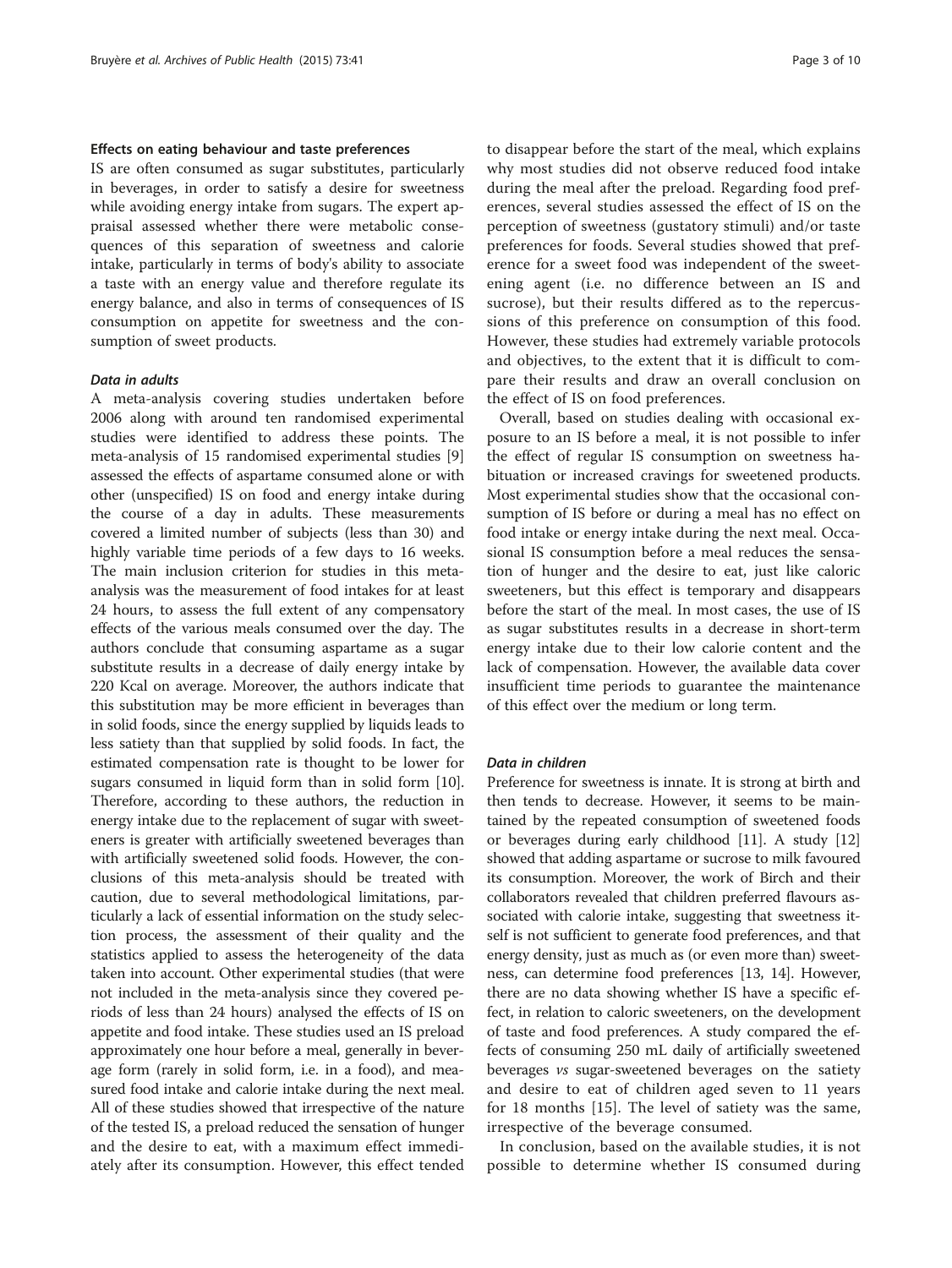#### Effects on eating behaviour and taste preferences

IS are often consumed as sugar substitutes, particularly in beverages, in order to satisfy a desire for sweetness while avoiding energy intake from sugars. The expert appraisal assessed whether there were metabolic consequences of this separation of sweetness and calorie intake, particularly in terms of body's ability to associate a taste with an energy value and therefore regulate its energy balance, and also in terms of consequences of IS consumption on appetite for sweetness and the consumption of sweet products.

## Data in adults

A meta-analysis covering studies undertaken before 2006 along with around ten randomised experimental studies were identified to address these points. The meta-analysis of 15 randomised experimental studies [[9](#page-8-0)] assessed the effects of aspartame consumed alone or with other (unspecified) IS on food and energy intake during the course of a day in adults. These measurements covered a limited number of subjects (less than 30) and highly variable time periods of a few days to 16 weeks. The main inclusion criterion for studies in this metaanalysis was the measurement of food intakes for at least 24 hours, to assess the full extent of any compensatory effects of the various meals consumed over the day. The authors conclude that consuming aspartame as a sugar substitute results in a decrease of daily energy intake by 220 Kcal on average. Moreover, the authors indicate that this substitution may be more efficient in beverages than in solid foods, since the energy supplied by liquids leads to less satiety than that supplied by solid foods. In fact, the estimated compensation rate is thought to be lower for sugars consumed in liquid form than in solid form [[10](#page-8-0)]. Therefore, according to these authors, the reduction in energy intake due to the replacement of sugar with sweeteners is greater with artificially sweetened beverages than with artificially sweetened solid foods. However, the conclusions of this meta-analysis should be treated with caution, due to several methodological limitations, particularly a lack of essential information on the study selection process, the assessment of their quality and the statistics applied to assess the heterogeneity of the data taken into account. Other experimental studies (that were not included in the meta-analysis since they covered periods of less than 24 hours) analysed the effects of IS on appetite and food intake. These studies used an IS preload approximately one hour before a meal, generally in beverage form (rarely in solid form, i.e. in a food), and measured food intake and calorie intake during the next meal. All of these studies showed that irrespective of the nature of the tested IS, a preload reduced the sensation of hunger and the desire to eat, with a maximum effect immediately after its consumption. However, this effect tended

to disappear before the start of the meal, which explains why most studies did not observe reduced food intake during the meal after the preload. Regarding food preferences, several studies assessed the effect of IS on the perception of sweetness (gustatory stimuli) and/or taste preferences for foods. Several studies showed that preference for a sweet food was independent of the sweetening agent (i.e. no difference between an IS and sucrose), but their results differed as to the repercussions of this preference on consumption of this food. However, these studies had extremely variable protocols and objectives, to the extent that it is difficult to compare their results and draw an overall conclusion on the effect of IS on food preferences.

Overall, based on studies dealing with occasional exposure to an IS before a meal, it is not possible to infer the effect of regular IS consumption on sweetness habituation or increased cravings for sweetened products. Most experimental studies show that the occasional consumption of IS before or during a meal has no effect on food intake or energy intake during the next meal. Occasional IS consumption before a meal reduces the sensation of hunger and the desire to eat, just like caloric sweeteners, but this effect is temporary and disappears before the start of the meal. In most cases, the use of IS as sugar substitutes results in a decrease in short-term energy intake due to their low calorie content and the lack of compensation. However, the available data cover insufficient time periods to guarantee the maintenance of this effect over the medium or long term.

## Data in children

Preference for sweetness is innate. It is strong at birth and then tends to decrease. However, it seems to be maintained by the repeated consumption of sweetened foods or beverages during early childhood [[11](#page-8-0)]. A study [[12](#page-8-0)] showed that adding aspartame or sucrose to milk favoured its consumption. Moreover, the work of Birch and their collaborators revealed that children preferred flavours associated with calorie intake, suggesting that sweetness itself is not sufficient to generate food preferences, and that energy density, just as much as (or even more than) sweetness, can determine food preferences [\[13, 14\]](#page-8-0). However, there are no data showing whether IS have a specific effect, in relation to caloric sweeteners, on the development of taste and food preferences. A study compared the effects of consuming 250 mL daily of artificially sweetened beverages vs sugar-sweetened beverages on the satiety and desire to eat of children aged seven to 11 years for 18 months [\[15](#page-8-0)]. The level of satiety was the same, irrespective of the beverage consumed.

In conclusion, based on the available studies, it is not possible to determine whether IS consumed during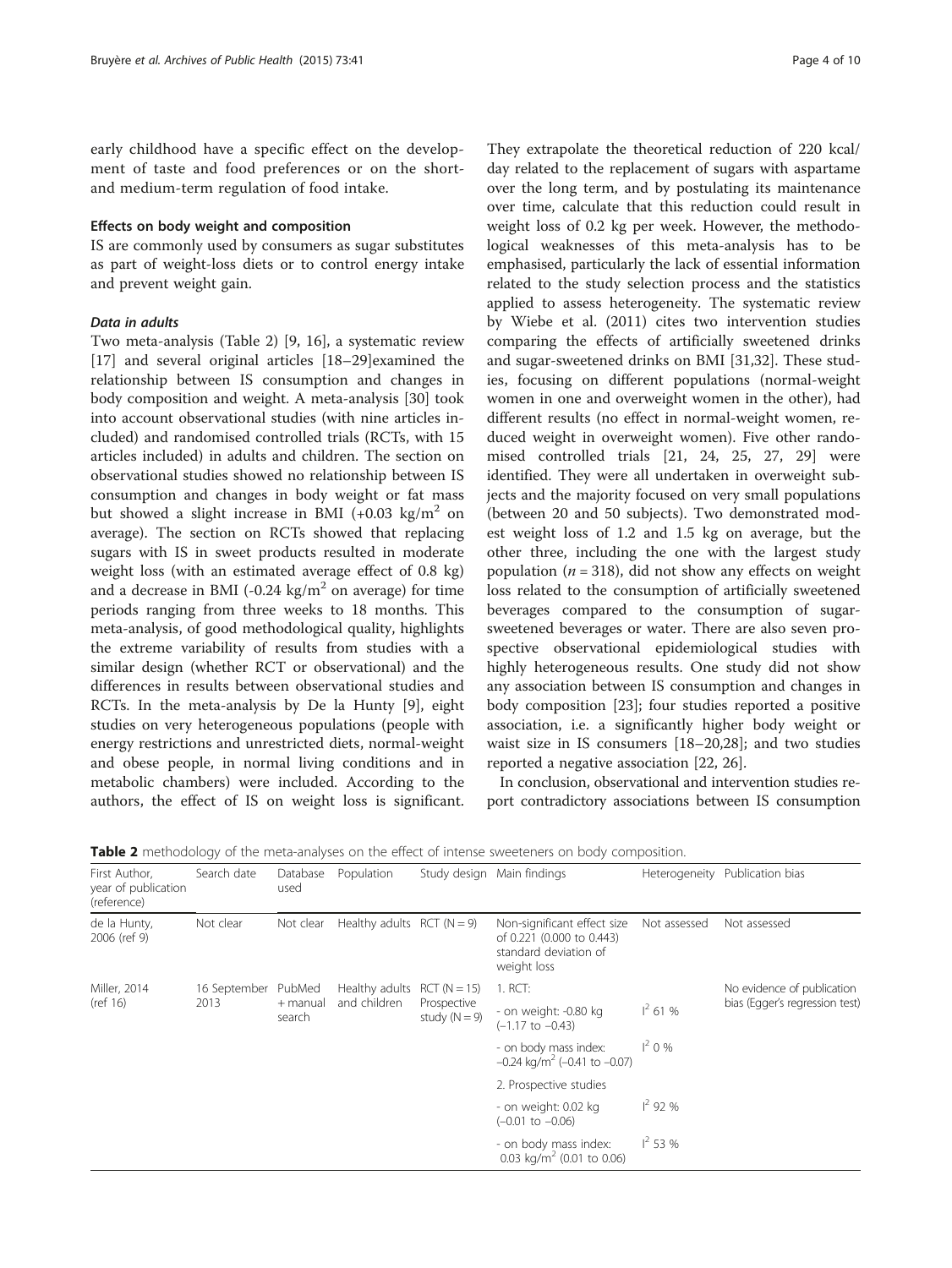early childhood have a specific effect on the development of taste and food preferences or on the shortand medium-term regulation of food intake.

## Effects on body weight and composition

IS are commonly used by consumers as sugar substitutes as part of weight-loss diets or to control energy intake and prevent weight gain.

## Data in adults

Two meta-analysis (Table 2) [[9, 16](#page-8-0)], a systematic review [[17\]](#page-8-0) and several original articles [\[18](#page-8-0)–[29\]](#page-8-0)examined the relationship between IS consumption and changes in body composition and weight. A meta-analysis [\[30\]](#page-8-0) took into account observational studies (with nine articles included) and randomised controlled trials (RCTs, with 15 articles included) in adults and children. The section on observational studies showed no relationship between IS consumption and changes in body weight or fat mass but showed a slight increase in BMI (+0.03 kg/ $m^2$  on average). The section on RCTs showed that replacing sugars with IS in sweet products resulted in moderate weight loss (with an estimated average effect of 0.8 kg) and a decrease in BMI (-0.24 kg/ $m<sup>2</sup>$  on average) for time periods ranging from three weeks to 18 months. This meta-analysis, of good methodological quality, highlights the extreme variability of results from studies with a similar design (whether RCT or observational) and the differences in results between observational studies and RCTs. In the meta-analysis by De la Hunty [\[9](#page-8-0)], eight studies on very heterogeneous populations (people with energy restrictions and unrestricted diets, normal-weight and obese people, in normal living conditions and in metabolic chambers) were included. According to the authors, the effect of IS on weight loss is significant.

They extrapolate the theoretical reduction of 220 kcal/ day related to the replacement of sugars with aspartame over the long term, and by postulating its maintenance over time, calculate that this reduction could result in weight loss of 0.2 kg per week. However, the methodological weaknesses of this meta-analysis has to be emphasised, particularly the lack of essential information related to the study selection process and the statistics applied to assess heterogeneity. The systematic review by Wiebe et al. (2011) cites two intervention studies comparing the effects of artificially sweetened drinks and sugar-sweetened drinks on BMI [[31,32\]](#page-8-0). These studies, focusing on different populations (normal-weight women in one and overweight women in the other), had different results (no effect in normal-weight women, reduced weight in overweight women). Five other randomised controlled trials [\[21, 24, 25, 27, 29](#page-8-0)] were identified. They were all undertaken in overweight subjects and the majority focused on very small populations (between 20 and 50 subjects). Two demonstrated modest weight loss of 1.2 and 1.5 kg on average, but the other three, including the one with the largest study population ( $n = 318$ ), did not show any effects on weight loss related to the consumption of artificially sweetened beverages compared to the consumption of sugarsweetened beverages or water. There are also seven prospective observational epidemiological studies with highly heterogeneous results. One study did not show any association between IS consumption and changes in body composition [[23\]](#page-8-0); four studies reported a positive association, i.e. a significantly higher body weight or waist size in IS consumers [[18](#page-8-0)–[20](#page-8-0),[28](#page-8-0)]; and two studies reported a negative association [\[22](#page-8-0), [26\]](#page-8-0).

In conclusion, observational and intervention studies report contradictory associations between IS consumption

Table 2 methodology of the meta-analyses on the effect of intense sweeteners on body composition.

| First Author,<br>year of publication<br>(reference) | Search date          | Database<br>used             | Population                     |                                                  | Study design Main findings                                                                       |              | Heterogeneity Publication bias                               |
|-----------------------------------------------------|----------------------|------------------------------|--------------------------------|--------------------------------------------------|--------------------------------------------------------------------------------------------------|--------------|--------------------------------------------------------------|
| de la Hunty,<br>2006 (ref 9)                        | Not clear            | Not clear                    | Healthy adults $RCT (N = 9)$   |                                                  | Non-significant effect size<br>of 0.221 (0.000 to 0.443)<br>standard deviation of<br>weight loss | Not assessed | Not assessed                                                 |
| Miller, 2014<br>(ref 16)                            | 16 September<br>2013 | PubMed<br>+ manual<br>search | Healthy adults<br>and children | $RCT (N = 15)$<br>Prospective<br>study $(N = 9)$ | $1.$ RCT:                                                                                        |              | No evidence of publication<br>bias (Egger's regression test) |
|                                                     |                      |                              |                                |                                                  | - on weight: -0.80 kg<br>$(-1.17$ to $-0.43)$                                                    | $1^2$ 61 %   |                                                              |
|                                                     |                      |                              |                                |                                                  | - on body mass index:<br>$-0.24$ kg/m <sup>2</sup> ( $-0.41$ to $-0.07$ )                        | $1^2$ 0 %    |                                                              |
|                                                     |                      |                              |                                |                                                  | 2. Prospective studies                                                                           |              |                                                              |
|                                                     |                      |                              |                                |                                                  | - on weight: 0.02 kg<br>$(-0.01$ to $-0.06)$                                                     | $1^2$ 92 %   |                                                              |
|                                                     |                      |                              |                                |                                                  | - on body mass index:<br>0.03 kg/m <sup>2</sup> (0.01 to 0.06)                                   | $1^2$ 53 %   |                                                              |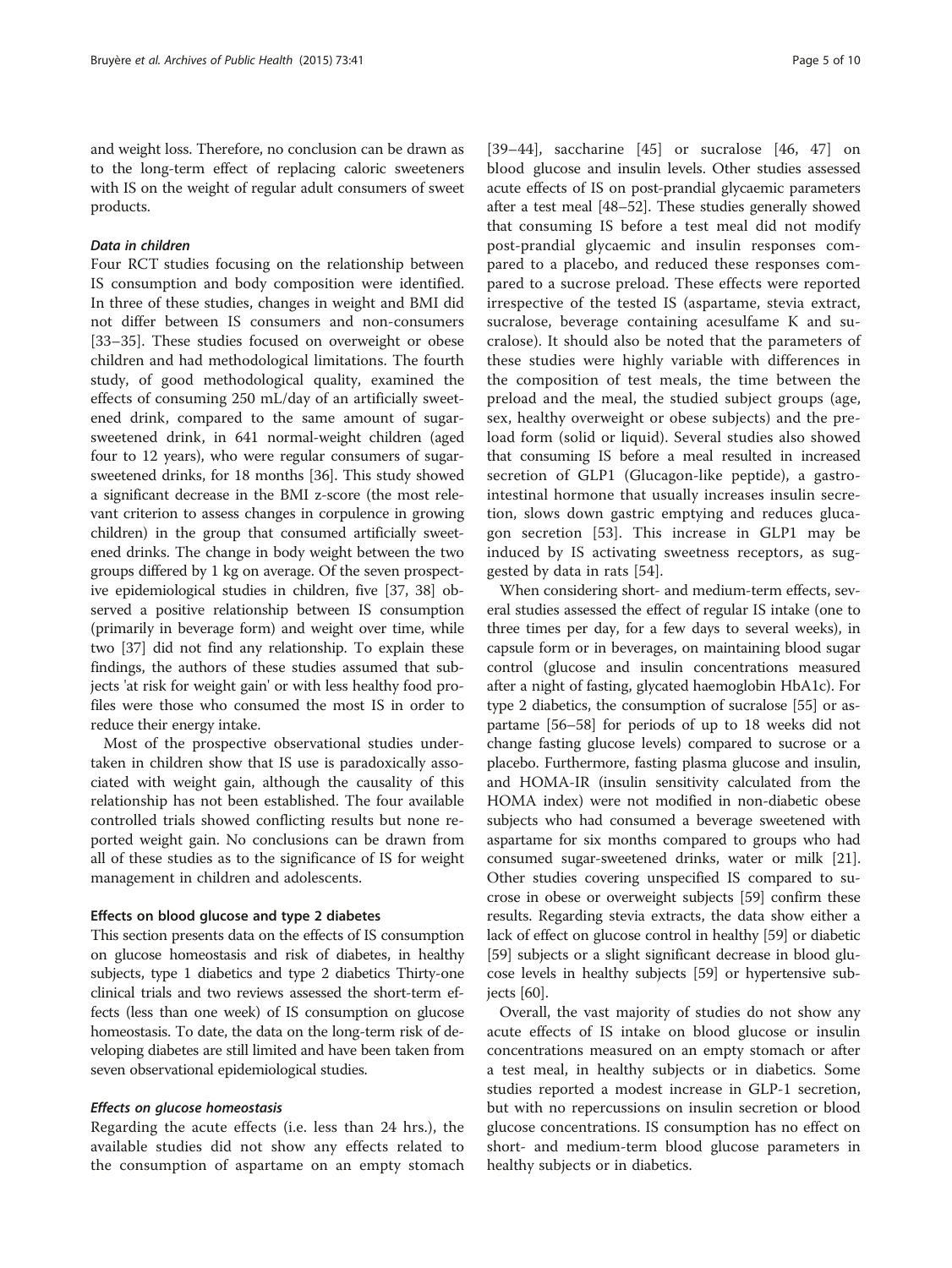and weight loss. Therefore, no conclusion can be drawn as to the long-term effect of replacing caloric sweeteners with IS on the weight of regular adult consumers of sweet products.

## Data in children

Four RCT studies focusing on the relationship between IS consumption and body composition were identified. In three of these studies, changes in weight and BMI did not differ between IS consumers and non-consumers [[33](#page-8-0)–[35](#page-8-0)]. These studies focused on overweight or obese children and had methodological limitations. The fourth study, of good methodological quality, examined the effects of consuming 250 mL/day of an artificially sweetened drink, compared to the same amount of sugarsweetened drink, in 641 normal-weight children (aged four to 12 years), who were regular consumers of sugarsweetened drinks, for 18 months [\[36](#page-8-0)]. This study showed a significant decrease in the BMI z-score (the most relevant criterion to assess changes in corpulence in growing children) in the group that consumed artificially sweetened drinks. The change in body weight between the two groups differed by 1 kg on average. Of the seven prospective epidemiological studies in children, five [[37](#page-8-0), [38\]](#page-8-0) observed a positive relationship between IS consumption (primarily in beverage form) and weight over time, while two [[37](#page-8-0)] did not find any relationship. To explain these findings, the authors of these studies assumed that subjects 'at risk for weight gain' or with less healthy food profiles were those who consumed the most IS in order to reduce their energy intake.

Most of the prospective observational studies undertaken in children show that IS use is paradoxically associated with weight gain, although the causality of this relationship has not been established. The four available controlled trials showed conflicting results but none reported weight gain. No conclusions can be drawn from all of these studies as to the significance of IS for weight management in children and adolescents.

## Effects on blood glucose and type 2 diabetes

This section presents data on the effects of IS consumption on glucose homeostasis and risk of diabetes, in healthy subjects, type 1 diabetics and type 2 diabetics Thirty-one clinical trials and two reviews assessed the short-term effects (less than one week) of IS consumption on glucose homeostasis. To date, the data on the long-term risk of developing diabetes are still limited and have been taken from seven observational epidemiological studies.

## Effects on glucose homeostasis

Regarding the acute effects (i.e. less than 24 hrs.), the available studies did not show any effects related to the consumption of aspartame on an empty stomach

[[39](#page-8-0)–[44](#page-8-0)], saccharine [\[45](#page-8-0)] or sucralose [[46, 47](#page-8-0)] on blood glucose and insulin levels. Other studies assessed acute effects of IS on post-prandial glycaemic parameters after a test meal [\[48](#page-8-0)–[52](#page-9-0)]. These studies generally showed that consuming IS before a test meal did not modify post-prandial glycaemic and insulin responses compared to a placebo, and reduced these responses compared to a sucrose preload. These effects were reported irrespective of the tested IS (aspartame, stevia extract, sucralose, beverage containing acesulfame K and sucralose). It should also be noted that the parameters of these studies were highly variable with differences in the composition of test meals, the time between the preload and the meal, the studied subject groups (age, sex, healthy overweight or obese subjects) and the preload form (solid or liquid). Several studies also showed that consuming IS before a meal resulted in increased secretion of GLP1 (Glucagon-like peptide), a gastrointestinal hormone that usually increases insulin secretion, slows down gastric emptying and reduces glucagon secretion [[53](#page-9-0)]. This increase in GLP1 may be induced by IS activating sweetness receptors, as suggested by data in rats [[54\]](#page-9-0).

When considering short- and medium-term effects, several studies assessed the effect of regular IS intake (one to three times per day, for a few days to several weeks), in capsule form or in beverages, on maintaining blood sugar control (glucose and insulin concentrations measured after a night of fasting, glycated haemoglobin HbA1c). For type 2 diabetics, the consumption of sucralose [\[55\]](#page-9-0) or aspartame [[56](#page-9-0)–[58](#page-9-0)] for periods of up to 18 weeks did not change fasting glucose levels) compared to sucrose or a placebo. Furthermore, fasting plasma glucose and insulin, and HOMA-IR (insulin sensitivity calculated from the HOMA index) were not modified in non-diabetic obese subjects who had consumed a beverage sweetened with aspartame for six months compared to groups who had consumed sugar-sweetened drinks, water or milk [[21](#page-8-0)]. Other studies covering unspecified IS compared to sucrose in obese or overweight subjects [\[59\]](#page-9-0) confirm these results. Regarding stevia extracts, the data show either a lack of effect on glucose control in healthy [[59](#page-9-0)] or diabetic [[59](#page-9-0)] subjects or a slight significant decrease in blood glucose levels in healthy subjects [[59](#page-9-0)] or hypertensive subjects  $|60|$ .

Overall, the vast majority of studies do not show any acute effects of IS intake on blood glucose or insulin concentrations measured on an empty stomach or after a test meal, in healthy subjects or in diabetics. Some studies reported a modest increase in GLP-1 secretion, but with no repercussions on insulin secretion or blood glucose concentrations. IS consumption has no effect on short- and medium-term blood glucose parameters in healthy subjects or in diabetics.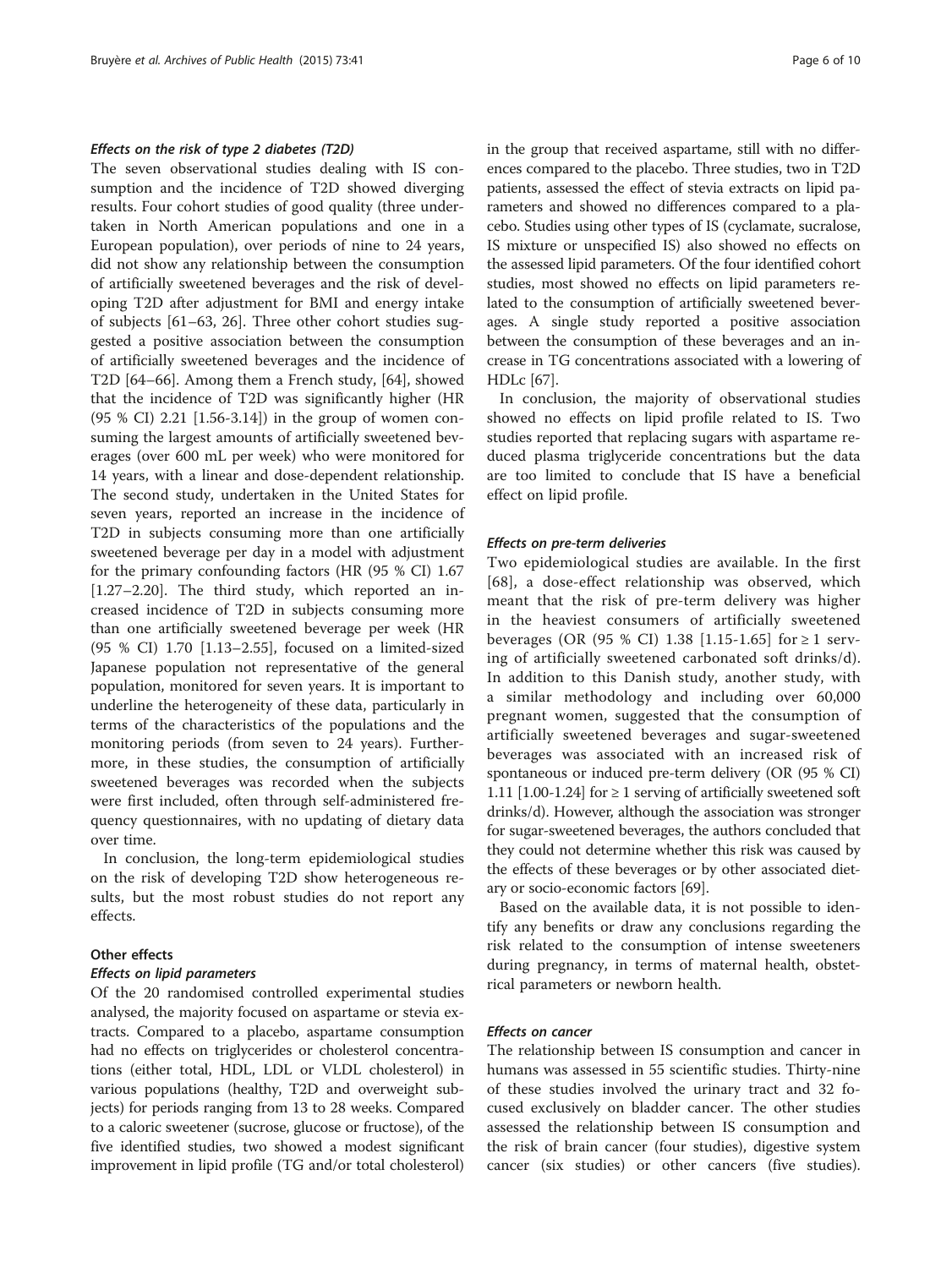#### Effects on the risk of type 2 diabetes (T2D)

The seven observational studies dealing with IS consumption and the incidence of T2D showed diverging results. Four cohort studies of good quality (three undertaken in North American populations and one in a European population), over periods of nine to 24 years, did not show any relationship between the consumption of artificially sweetened beverages and the risk of developing T2D after adjustment for BMI and energy intake of subjects [[61](#page-9-0)–[63](#page-9-0), [26\]](#page-8-0). Three other cohort studies suggested a positive association between the consumption of artificially sweetened beverages and the incidence of T2D [\[64](#page-9-0)–[66](#page-9-0)]. Among them a French study, [[64\]](#page-9-0), showed that the incidence of T2D was significantly higher (HR (95 % CI) 2.21 [1.56-3.14]) in the group of women consuming the largest amounts of artificially sweetened beverages (over 600 mL per week) who were monitored for 14 years, with a linear and dose-dependent relationship. The second study, undertaken in the United States for seven years, reported an increase in the incidence of T2D in subjects consuming more than one artificially sweetened beverage per day in a model with adjustment for the primary confounding factors (HR (95 % CI) 1.67 [1.27–2.20]. The third study, which reported an increased incidence of T2D in subjects consuming more than one artificially sweetened beverage per week (HR (95 % CI) 1.70 [1.13–2.55], focused on a limited-sized Japanese population not representative of the general population, monitored for seven years. It is important to underline the heterogeneity of these data, particularly in terms of the characteristics of the populations and the monitoring periods (from seven to 24 years). Furthermore, in these studies, the consumption of artificially sweetened beverages was recorded when the subjects were first included, often through self-administered frequency questionnaires, with no updating of dietary data over time.

In conclusion, the long-term epidemiological studies on the risk of developing T2D show heterogeneous results, but the most robust studies do not report any effects.

## Other effects

## Effects on lipid parameters

Of the 20 randomised controlled experimental studies analysed, the majority focused on aspartame or stevia extracts. Compared to a placebo, aspartame consumption had no effects on triglycerides or cholesterol concentrations (either total, HDL, LDL or VLDL cholesterol) in various populations (healthy, T2D and overweight subjects) for periods ranging from 13 to 28 weeks. Compared to a caloric sweetener (sucrose, glucose or fructose), of the five identified studies, two showed a modest significant improvement in lipid profile (TG and/or total cholesterol) in the group that received aspartame, still with no differences compared to the placebo. Three studies, two in T2D patients, assessed the effect of stevia extracts on lipid parameters and showed no differences compared to a placebo. Studies using other types of IS (cyclamate, sucralose, IS mixture or unspecified IS) also showed no effects on the assessed lipid parameters. Of the four identified cohort studies, most showed no effects on lipid parameters related to the consumption of artificially sweetened beverages. A single study reported a positive association between the consumption of these beverages and an increase in TG concentrations associated with a lowering of HDLc [[67](#page-9-0)].

In conclusion, the majority of observational studies showed no effects on lipid profile related to IS. Two studies reported that replacing sugars with aspartame reduced plasma triglyceride concentrations but the data are too limited to conclude that IS have a beneficial effect on lipid profile.

#### Effects on pre-term deliveries

Two epidemiological studies are available. In the first [[68](#page-9-0)], a dose-effect relationship was observed, which meant that the risk of pre-term delivery was higher in the heaviest consumers of artificially sweetened beverages (OR (95 % CI) 1.38 [1.15-1.65] for ≥ 1 serving of artificially sweetened carbonated soft drinks/d). In addition to this Danish study, another study, with a similar methodology and including over 60,000 pregnant women, suggested that the consumption of artificially sweetened beverages and sugar-sweetened beverages was associated with an increased risk of spontaneous or induced pre-term delivery (OR (95 % CI) 1.11 [1.00-1.24] for  $\geq 1$  serving of artificially sweetened soft drinks/d). However, although the association was stronger for sugar-sweetened beverages, the authors concluded that they could not determine whether this risk was caused by the effects of these beverages or by other associated dietary or socio-economic factors [\[69\]](#page-9-0).

Based on the available data, it is not possible to identify any benefits or draw any conclusions regarding the risk related to the consumption of intense sweeteners during pregnancy, in terms of maternal health, obstetrical parameters or newborn health.

## Effects on cancer

The relationship between IS consumption and cancer in humans was assessed in 55 scientific studies. Thirty-nine of these studies involved the urinary tract and 32 focused exclusively on bladder cancer. The other studies assessed the relationship between IS consumption and the risk of brain cancer (four studies), digestive system cancer (six studies) or other cancers (five studies).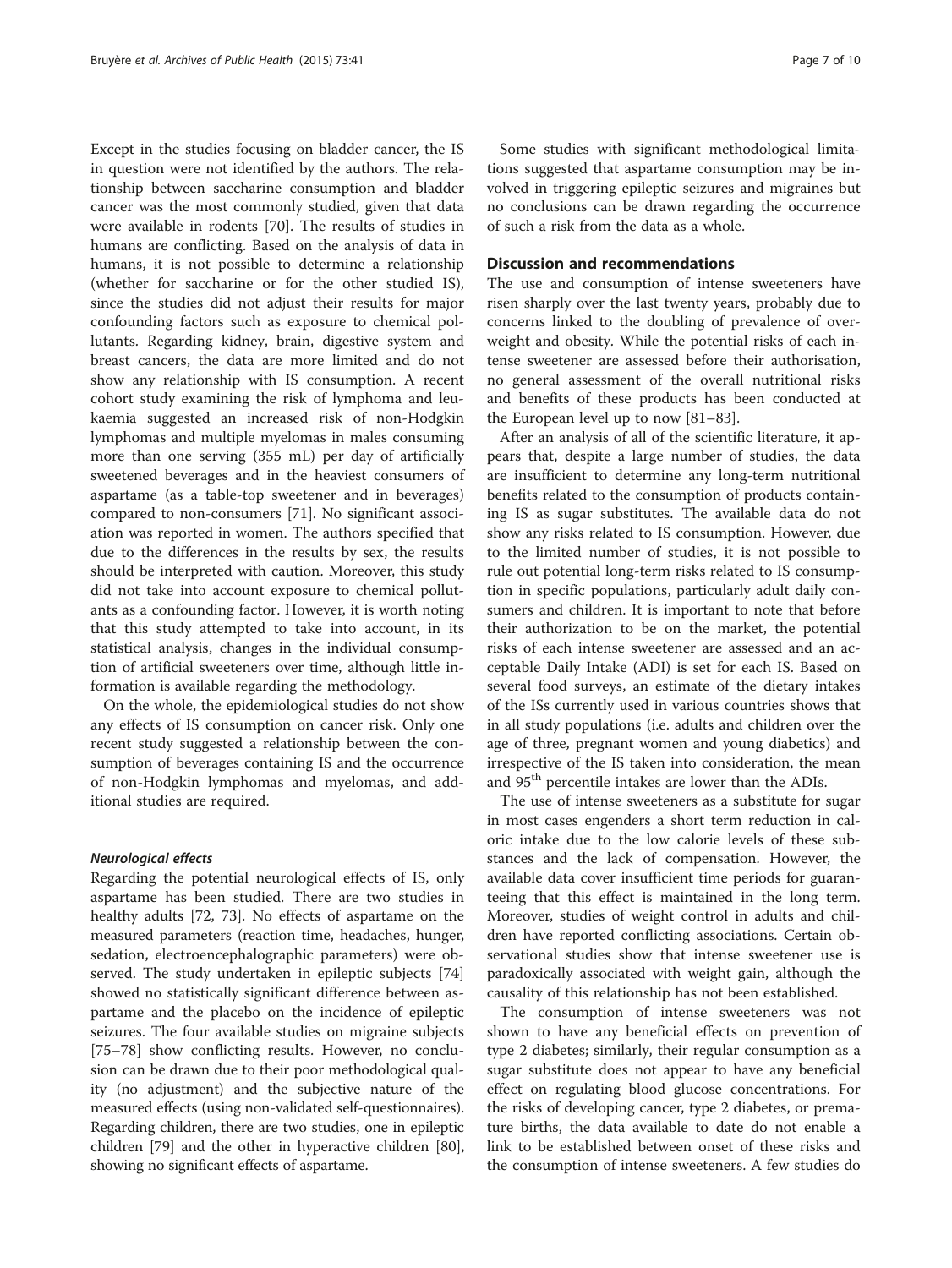Except in the studies focusing on bladder cancer, the IS in question were not identified by the authors. The relationship between saccharine consumption and bladder cancer was the most commonly studied, given that data were available in rodents [[70](#page-9-0)]. The results of studies in humans are conflicting. Based on the analysis of data in humans, it is not possible to determine a relationship (whether for saccharine or for the other studied IS), since the studies did not adjust their results for major confounding factors such as exposure to chemical pollutants. Regarding kidney, brain, digestive system and breast cancers, the data are more limited and do not show any relationship with IS consumption. A recent cohort study examining the risk of lymphoma and leukaemia suggested an increased risk of non-Hodgkin lymphomas and multiple myelomas in males consuming more than one serving (355 mL) per day of artificially sweetened beverages and in the heaviest consumers of aspartame (as a table-top sweetener and in beverages) compared to non-consumers [[71\]](#page-9-0). No significant association was reported in women. The authors specified that due to the differences in the results by sex, the results should be interpreted with caution. Moreover, this study did not take into account exposure to chemical pollutants as a confounding factor. However, it is worth noting that this study attempted to take into account, in its statistical analysis, changes in the individual consumption of artificial sweeteners over time, although little information is available regarding the methodology.

On the whole, the epidemiological studies do not show any effects of IS consumption on cancer risk. Only one recent study suggested a relationship between the consumption of beverages containing IS and the occurrence of non-Hodgkin lymphomas and myelomas, and additional studies are required.

## Neurological effects

Regarding the potential neurological effects of IS, only aspartame has been studied. There are two studies in healthy adults [\[72](#page-9-0), [73](#page-9-0)]. No effects of aspartame on the measured parameters (reaction time, headaches, hunger, sedation, electroencephalographic parameters) were observed. The study undertaken in epileptic subjects [[74](#page-9-0)] showed no statistically significant difference between aspartame and the placebo on the incidence of epileptic seizures. The four available studies on migraine subjects [[75](#page-9-0)–[78](#page-9-0)] show conflicting results. However, no conclusion can be drawn due to their poor methodological quality (no adjustment) and the subjective nature of the measured effects (using non-validated self-questionnaires). Regarding children, there are two studies, one in epileptic children [[79](#page-9-0)] and the other in hyperactive children [[80](#page-9-0)], showing no significant effects of aspartame.

Some studies with significant methodological limitations suggested that aspartame consumption may be involved in triggering epileptic seizures and migraines but no conclusions can be drawn regarding the occurrence of such a risk from the data as a whole.

## Discussion and recommendations

The use and consumption of intense sweeteners have risen sharply over the last twenty years, probably due to concerns linked to the doubling of prevalence of overweight and obesity. While the potential risks of each intense sweetener are assessed before their authorisation, no general assessment of the overall nutritional risks and benefits of these products has been conducted at the European level up to now [\[81](#page-9-0)–[83\]](#page-9-0).

After an analysis of all of the scientific literature, it appears that, despite a large number of studies, the data are insufficient to determine any long-term nutritional benefits related to the consumption of products containing IS as sugar substitutes. The available data do not show any risks related to IS consumption. However, due to the limited number of studies, it is not possible to rule out potential long-term risks related to IS consumption in specific populations, particularly adult daily consumers and children. It is important to note that before their authorization to be on the market, the potential risks of each intense sweetener are assessed and an acceptable Daily Intake (ADI) is set for each IS. Based on several food surveys, an estimate of the dietary intakes of the ISs currently used in various countries shows that in all study populations (i.e. adults and children over the age of three, pregnant women and young diabetics) and irrespective of the IS taken into consideration, the mean and 95<sup>th</sup> percentile intakes are lower than the ADIs.

The use of intense sweeteners as a substitute for sugar in most cases engenders a short term reduction in caloric intake due to the low calorie levels of these substances and the lack of compensation. However, the available data cover insufficient time periods for guaranteeing that this effect is maintained in the long term. Moreover, studies of weight control in adults and children have reported conflicting associations. Certain observational studies show that intense sweetener use is paradoxically associated with weight gain, although the causality of this relationship has not been established.

The consumption of intense sweeteners was not shown to have any beneficial effects on prevention of type 2 diabetes; similarly, their regular consumption as a sugar substitute does not appear to have any beneficial effect on regulating blood glucose concentrations. For the risks of developing cancer, type 2 diabetes, or premature births, the data available to date do not enable a link to be established between onset of these risks and the consumption of intense sweeteners. A few studies do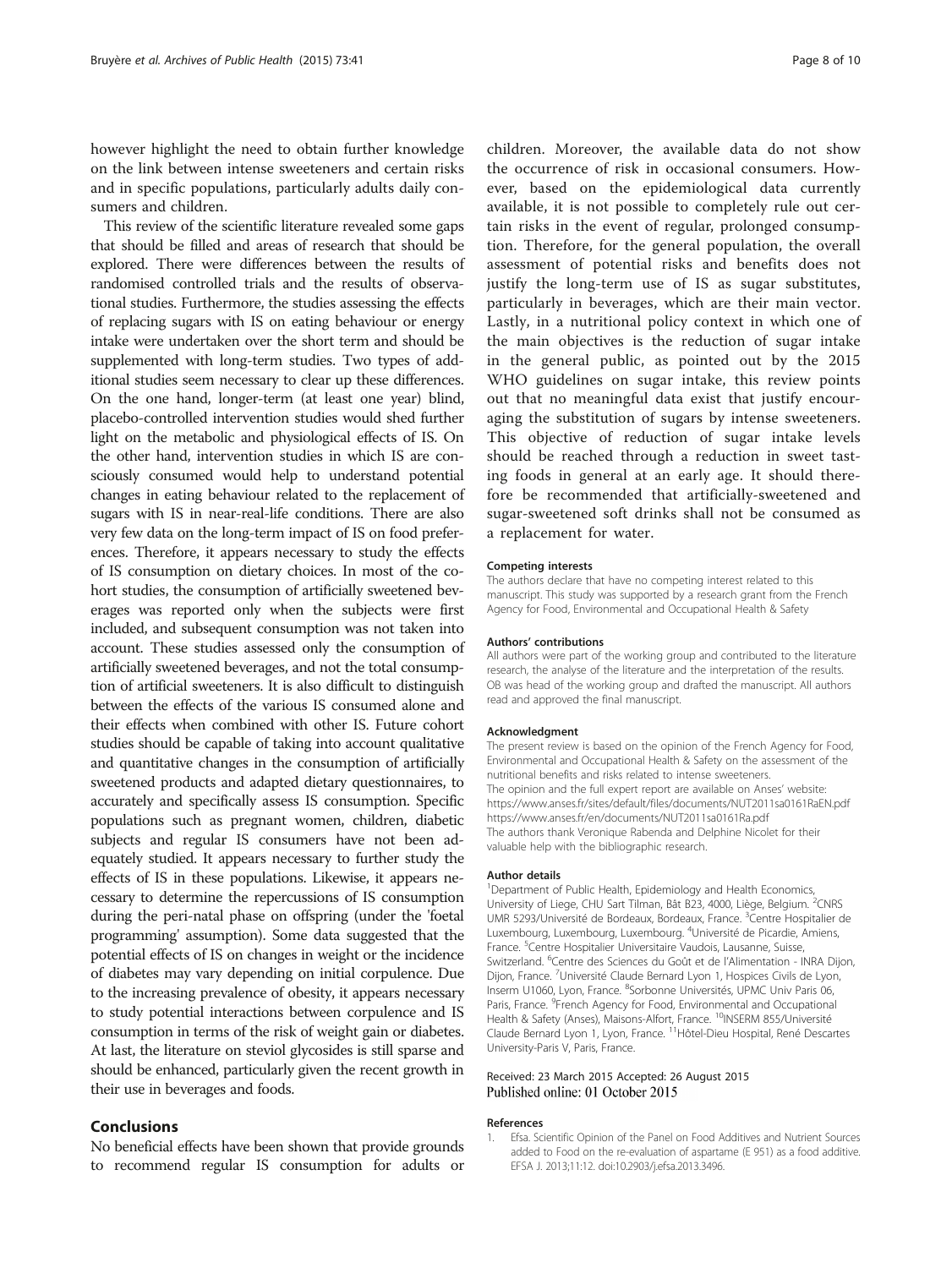<span id="page-7-0"></span>however highlight the need to obtain further knowledge on the link between intense sweeteners and certain risks and in specific populations, particularly adults daily consumers and children.

This review of the scientific literature revealed some gaps that should be filled and areas of research that should be explored. There were differences between the results of randomised controlled trials and the results of observational studies. Furthermore, the studies assessing the effects of replacing sugars with IS on eating behaviour or energy intake were undertaken over the short term and should be supplemented with long-term studies. Two types of additional studies seem necessary to clear up these differences. On the one hand, longer-term (at least one year) blind, placebo-controlled intervention studies would shed further light on the metabolic and physiological effects of IS. On the other hand, intervention studies in which IS are consciously consumed would help to understand potential changes in eating behaviour related to the replacement of sugars with IS in near-real-life conditions. There are also very few data on the long-term impact of IS on food preferences. Therefore, it appears necessary to study the effects of IS consumption on dietary choices. In most of the cohort studies, the consumption of artificially sweetened beverages was reported only when the subjects were first included, and subsequent consumption was not taken into account. These studies assessed only the consumption of artificially sweetened beverages, and not the total consumption of artificial sweeteners. It is also difficult to distinguish between the effects of the various IS consumed alone and their effects when combined with other IS. Future cohort studies should be capable of taking into account qualitative and quantitative changes in the consumption of artificially sweetened products and adapted dietary questionnaires, to accurately and specifically assess IS consumption. Specific populations such as pregnant women, children, diabetic subjects and regular IS consumers have not been adequately studied. It appears necessary to further study the effects of IS in these populations. Likewise, it appears necessary to determine the repercussions of IS consumption during the peri-natal phase on offspring (under the 'foetal programming' assumption). Some data suggested that the potential effects of IS on changes in weight or the incidence of diabetes may vary depending on initial corpulence. Due to the increasing prevalence of obesity, it appears necessary to study potential interactions between corpulence and IS consumption in terms of the risk of weight gain or diabetes. At last, the literature on steviol glycosides is still sparse and should be enhanced, particularly given the recent growth in their use in beverages and foods.

## Conclusions

No beneficial effects have been shown that provide grounds to recommend regular IS consumption for adults or

children. Moreover, the available data do not show the occurrence of risk in occasional consumers. However, based on the epidemiological data currently available, it is not possible to completely rule out certain risks in the event of regular, prolonged consumption. Therefore, for the general population, the overall assessment of potential risks and benefits does not justify the long-term use of IS as sugar substitutes, particularly in beverages, which are their main vector. Lastly, in a nutritional policy context in which one of the main objectives is the reduction of sugar intake in the general public, as pointed out by the 2015 WHO guidelines on sugar intake, this review points out that no meaningful data exist that justify encouraging the substitution of sugars by intense sweeteners. This objective of reduction of sugar intake levels should be reached through a reduction in sweet tasting foods in general at an early age. It should therefore be recommended that artificially-sweetened and sugar-sweetened soft drinks shall not be consumed as a replacement for water.

#### Competing interests

The authors declare that have no competing interest related to this manuscript. This study was supported by a research grant from the French Agency for Food, Environmental and Occupational Health & Safety

#### Authors' contributions

All authors were part of the working group and contributed to the literature research, the analyse of the literature and the interpretation of the results. OB was head of the working group and drafted the manuscript. All authors read and approved the final manuscript.

#### Acknowledgment

The present review is based on the opinion of the French Agency for Food, Environmental and Occupational Health & Safety on the assessment of the nutritional benefits and risks related to intense sweeteners. The opinion and the full expert report are available on Anses' website: <https://www.anses.fr/sites/default/files/documents/NUT2011sa0161RaEN.pdf> <https://www.anses.fr/en/documents/NUT2011sa0161Ra.pdf> The authors thank Veronique Rabenda and Delphine Nicolet for their valuable help with the bibliographic research.

#### Author details

<sup>1</sup>Department of Public Health, Epidemiology and Health Economics University of Liege, CHU Sart Tilman, Bât B23, 4000, Liège, Belgium. <sup>2</sup>CNRS UMR 5293/Université de Bordeaux, Bordeaux, France. <sup>3</sup>Centre Hospitalier de Luxembourg, Luxembourg, Luxembourg. <sup>4</sup>Université de Picardie, Amiens France. <sup>5</sup>Centre Hospitalier Universitaire Vaudois, Lausanne, Suisse Switzerland. <sup>6</sup>Centre des Sciences du Goût et de l'Alimentation - INRA Dijon Dijon, France. <sup>7</sup>Université Claude Bernard Lyon 1, Hospices Civils de Lyon, Inserm U1060, Lyon, France. <sup>8</sup>Sorbonne Universités, UPMC Univ Paris 06, Paris, France. <sup>9</sup>French Agency for Food, Environmental and Occupational Health & Safety (Anses), Maisons-Alfort, France. <sup>10</sup>INSERM 855/Université Claude Bernard Lyon 1, Lyon, France. 11Hôtel-Dieu Hospital, René Descartes University-Paris V, Paris, France.

### Received: 23 March 2015 Accepted: 26 August 2015 Published online: 01 October 2015

#### References

1. Efsa. Scientific Opinion of the Panel on Food Additives and Nutrient Sources added to Food on the re-evaluation of aspartame (E 951) as a food additive. EFSA J. 2013;11:12. doi:[10.2903/j.efsa.2013.3496](http://dx.doi.org/10.2903/j.efsa.2013.3496).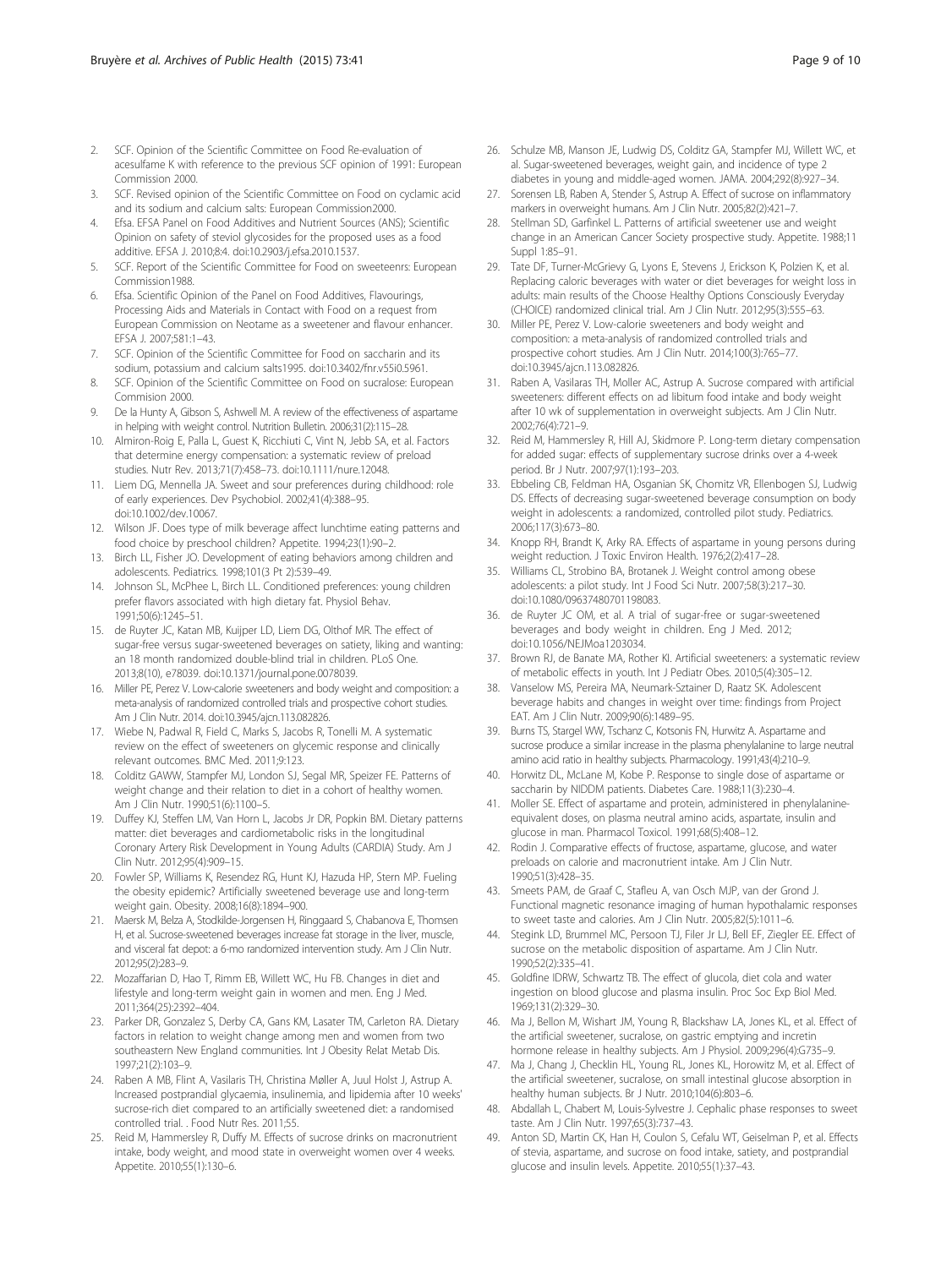- <span id="page-8-0"></span>2. SCF. Opinion of the Scientific Committee on Food Re-evaluation of acesulfame K with reference to the previous SCF opinion of 1991: European Commission 2000.
- 3. SCF. Revised opinion of the Scientific Committee on Food on cyclamic acid and its sodium and calcium salts: European Commission2000.
- 4. Efsa. EFSA Panel on Food Additives and Nutrient Sources (ANS); Scientific Opinion on safety of steviol glycosides for the proposed uses as a food additive. EFSA J. 2010;8:4. doi[:10.2903/j.efsa.2010.1537](http://dx.doi.org/10.2903/j.efsa.2010.1537).
- 5. SCF. Report of the Scientific Committee for Food on sweeteenrs: European Commission1988.
- 6. Efsa. Scientific Opinion of the Panel on Food Additives, Flavourings, Processing Aids and Materials in Contact with Food on a request from European Commission on Neotame as a sweetener and flavour enhancer. EFSA J. 2007;581:1–43.
- 7. SCF. Opinion of the Scientific Committee for Food on saccharin and its sodium, potassium and calcium salts1995. doi:[10.3402/fnr.v55i0.5961.](http://dx.doi.org/10.3402/fnr.v55i0.5961)
- 8. SCF. Opinion of the Scientific Committee on Food on sucralose: European Commision 2000.
- De la Hunty A, Gibson S, Ashwell M. A review of the effectiveness of aspartame in helping with weight control. Nutrition Bulletin. 2006;31(2):115–28.
- 10. Almiron-Roig E, Palla L, Guest K, Ricchiuti C, Vint N, Jebb SA, et al. Factors that determine energy compensation: a systematic review of preload studies. Nutr Rev. 2013;71(7):458–73. doi[:10.1111/nure.12048](http://dx.doi.org/10.1111/nure.12048).
- 11. Liem DG, Mennella JA. Sweet and sour preferences during childhood: role of early experiences. Dev Psychobiol. 2002;41(4):388–95. doi[:10.1002/dev.10067.](http://dx.doi.org/10.1002/dev.10067)
- 12. Wilson JF. Does type of milk beverage affect lunchtime eating patterns and food choice by preschool children? Appetite. 1994;23(1):90–2.
- 13. Birch LL, Fisher JO. Development of eating behaviors among children and adolescents. Pediatrics. 1998;101(3 Pt 2):539–49.
- 14. Johnson SL, McPhee L, Birch LL. Conditioned preferences: young children prefer flavors associated with high dietary fat. Physiol Behav. 1991;50(6):1245–51.
- 15. de Ruyter JC, Katan MB, Kuijper LD, Liem DG, Olthof MR. The effect of sugar-free versus sugar-sweetened beverages on satiety, liking and wanting: an 18 month randomized double-blind trial in children. PLoS One. 2013;8(10), e78039. doi:[10.1371/journal.pone.0078039.](http://dx.doi.org/10.1371/journal.pone.0078039)
- 16. Miller PE, Perez V. Low-calorie sweeteners and body weight and composition: a meta-analysis of randomized controlled trials and prospective cohort studies. Am J Clin Nutr. 2014. doi[:10.3945/ajcn.113.082826](http://dx.doi.org/10.3945/ajcn.113.082826).
- 17. Wiebe N, Padwal R, Field C, Marks S, Jacobs R, Tonelli M. A systematic review on the effect of sweeteners on glycemic response and clinically relevant outcomes. BMC Med. 2011;9:123.
- 18. Colditz GAWW, Stampfer MJ, London SJ, Segal MR, Speizer FE. Patterns of weight change and their relation to diet in a cohort of healthy women. Am J Clin Nutr. 1990;51(6):1100–5.
- 19. Duffey KJ, Steffen LM, Van Horn L, Jacobs Jr DR, Popkin BM. Dietary patterns matter: diet beverages and cardiometabolic risks in the longitudinal Coronary Artery Risk Development in Young Adults (CARDIA) Study. Am J Clin Nutr. 2012;95(4):909–15.
- 20. Fowler SP, Williams K, Resendez RG, Hunt KJ, Hazuda HP, Stern MP. Fueling the obesity epidemic? Artificially sweetened beverage use and long-term weight gain. Obesity. 2008;16(8):1894–900.
- 21. Maersk M, Belza A, Stodkilde-Jorgensen H, Ringgaard S, Chabanova E, Thomsen H, et al. Sucrose-sweetened beverages increase fat storage in the liver, muscle, and visceral fat depot: a 6-mo randomized intervention study. Am J Clin Nutr. 2012;95(2):283–9.
- 22. Mozaffarian D, Hao T, Rimm EB, Willett WC, Hu FB. Changes in diet and lifestyle and long-term weight gain in women and men. Eng J Med. 2011;364(25):2392–404.
- 23. Parker DR, Gonzalez S, Derby CA, Gans KM, Lasater TM, Carleton RA. Dietary factors in relation to weight change among men and women from two southeastern New England communities. Int J Obesity Relat Metab Dis. 1997;21(2):103–9.
- 24. Raben A MB, Flint A, Vasilaris TH, Christina Møller A, Juul Holst J, Astrup A. Increased postprandial glycaemia, insulinemia, and lipidemia after 10 weeks' sucrose-rich diet compared to an artificially sweetened diet: a randomised controlled trial. . Food Nutr Res. 2011;55.
- 25. Reid M, Hammersley R, Duffy M. Effects of sucrose drinks on macronutrient intake, body weight, and mood state in overweight women over 4 weeks. Appetite. 2010;55(1):130–6.
- 26. Schulze MB, Manson JE, Ludwig DS, Colditz GA, Stampfer MJ, Willett WC, et al. Sugar-sweetened beverages, weight gain, and incidence of type 2 diabetes in young and middle-aged women. JAMA. 2004;292(8):927–34.
- 27. Sorensen LB, Raben A, Stender S, Astrup A. Effect of sucrose on inflammatory markers in overweight humans. Am J Clin Nutr. 2005;82(2):421–7.
- 28. Stellman SD, Garfinkel L. Patterns of artificial sweetener use and weight change in an American Cancer Society prospective study. Appetite. 1988;11 Suppl 1:85–91.
- 29. Tate DF, Turner-McGrievy G, Lyons E, Stevens J, Erickson K, Polzien K, et al. Replacing caloric beverages with water or diet beverages for weight loss in adults: main results of the Choose Healthy Options Consciously Everyday (CHOICE) randomized clinical trial. Am J Clin Nutr. 2012;95(3):555–63.
- 30. Miller PE, Perez V. Low-calorie sweeteners and body weight and composition: a meta-analysis of randomized controlled trials and prospective cohort studies. Am J Clin Nutr. 2014;100(3):765–77. doi[:10.3945/ajcn.113.082826.](http://dx.doi.org/10.3945/ajcn.113.082826)
- 31. Raben A, Vasilaras TH, Moller AC, Astrup A. Sucrose compared with artificial sweeteners: different effects on ad libitum food intake and body weight after 10 wk of supplementation in overweight subjects. Am J Clin Nutr. 2002;76(4):721–9.
- 32. Reid M, Hammersley R, Hill AJ, Skidmore P. Long-term dietary compensation for added sugar: effects of supplementary sucrose drinks over a 4-week period. Br J Nutr. 2007;97(1):193–203.
- 33. Ebbeling CB, Feldman HA, Osganian SK, Chomitz VR, Ellenbogen SJ, Ludwig DS. Effects of decreasing sugar-sweetened beverage consumption on body weight in adolescents: a randomized, controlled pilot study. Pediatrics. 2006;117(3):673–80.
- 34. Knopp RH, Brandt K, Arky RA. Effects of aspartame in young persons during weight reduction. J Toxic Environ Health. 1976;2(2):417–28.
- 35. Williams CL, Strobino BA, Brotanek J. Weight control among obese adolescents: a pilot study. Int J Food Sci Nutr. 2007;58(3):217–30. doi[:10.1080/09637480701198083](http://dx.doi.org/10.1080/09637480701198083).
- 36. de Ruyter JC OM, et al. A trial of sugar-free or sugar-sweetened beverages and body weight in children. Eng J Med. 2012; doi[:10.1056/NEJMoa1203034.](http://dx.doi.org/10.1056/NEJMoa1203034)
- 37. Brown RJ, de Banate MA, Rother KI. Artificial sweeteners: a systematic review of metabolic effects in youth. Int J Pediatr Obes. 2010;5(4):305–12.
- 38. Vanselow MS, Pereira MA, Neumark-Sztainer D, Raatz SK. Adolescent beverage habits and changes in weight over time: findings from Project EAT. Am J Clin Nutr. 2009;90(6):1489–95.
- 39. Burns TS, Stargel WW, Tschanz C, Kotsonis FN, Hurwitz A. Aspartame and sucrose produce a similar increase in the plasma phenylalanine to large neutral amino acid ratio in healthy subjects. Pharmacology. 1991;43(4):210–9.
- 40. Horwitz DL, McLane M, Kobe P. Response to single dose of aspartame or saccharin by NIDDM patients. Diabetes Care. 1988;11(3):230–4.
- 41. Moller SE. Effect of aspartame and protein, administered in phenylalanineequivalent doses, on plasma neutral amino acids, aspartate, insulin and glucose in man. Pharmacol Toxicol. 1991;68(5):408–12.
- 42. Rodin J. Comparative effects of fructose, aspartame, glucose, and water preloads on calorie and macronutrient intake. Am J Clin Nutr. 1990;51(3):428–35.
- 43. Smeets PAM, de Graaf C, Stafleu A, van Osch MJP, van der Grond J. Functional magnetic resonance imaging of human hypothalamic responses to sweet taste and calories. Am J Clin Nutr. 2005;82(5):1011–6.
- 44. Stegink LD, Brummel MC, Persoon TJ, Filer Jr LJ, Bell EF, Ziegler EE. Effect of sucrose on the metabolic disposition of aspartame. Am J Clin Nutr. 1990;52(2):335–41.
- 45. Goldfine IDRW, Schwartz TB. The effect of glucola, diet cola and water ingestion on blood glucose and plasma insulin. Proc Soc Exp Biol Med. 1969;131(2):329–30.
- 46. Ma J, Bellon M, Wishart JM, Young R, Blackshaw LA, Jones KL, et al. Effect of the artificial sweetener, sucralose, on gastric emptying and incretin hormone release in healthy subjects. Am J Physiol. 2009;296(4):G735–9.
- 47. Ma J, Chang J, Checklin HL, Young RL, Jones KL, Horowitz M, et al. Effect of the artificial sweetener, sucralose, on small intestinal glucose absorption in healthy human subjects. Br J Nutr. 2010;104(6):803–6.
- 48. Abdallah L, Chabert M, Louis-Sylvestre J. Cephalic phase responses to sweet taste. Am J Clin Nutr. 1997;65(3):737–43.
- 49. Anton SD, Martin CK, Han H, Coulon S, Cefalu WT, Geiselman P, et al. Effects of stevia, aspartame, and sucrose on food intake, satiety, and postprandial glucose and insulin levels. Appetite. 2010;55(1):37–43.